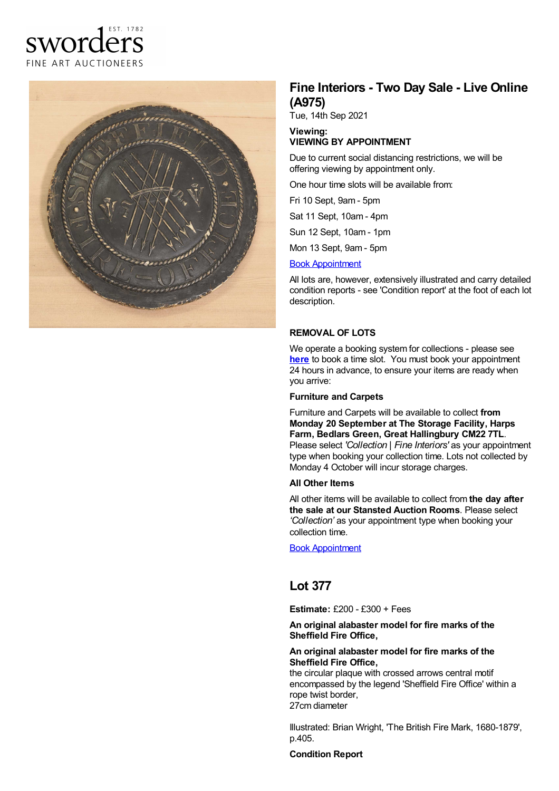# EST. 1782 sworders FINE ART AUCTIONEERS



## **Fine Interiors - Two Day Sale - Live Online (A975)**

Tue, 14th Sep 2021

#### **Viewing: VIEWING BY APPOINTMENT**

Due to current social distancing restrictions, we will be offering viewing by appointment only.

One hour time slots will be available from:

Fri 10 Sept, 9am - 5pm

Sat 11 Sept, 10am - 4pm

Sun 12 Sept, 10am - 1pm

Mon 13 Sept, 9am - 5pm

#### Book [Appointment](https://www.sworder.co.uk/appointments/)

All lots are, however, extensively illustrated and carry detailed condition reports - see 'Condition report' at the foot of each lot description.

### **REMOVAL OF LOTS**

We operate a booking system for collections - please see **[here](https://www.sworder.co.uk/appointments/)** to book a time slot. You must book your appointment 24 hours in advance, to ensure your items are ready when you arrive:

#### **Furniture and Carpets**

Furniture and Carpets will be available to collect **from Monday 20 September at The Storage Facility, Harps Farm, Bedlars Green, Great Hallingbury CM22 7TL**. Please select *'Collection | Fine Interiors'* as your appointment type when booking your collection time. Lots not collected by Monday 4 October will incur storage charges.

#### **All Other Items**

All other items will be available to collect from **the day after the sale at our Stansted Auction Rooms**. Please select *'Collection'* as your appointment type when booking your collection time.

Book [Appointment](https://www.sworder.co.uk/appointments/)

### **Lot 377**

**Estimate:** £200 - £300 + Fees

#### **An original alabaster model for fire marks of the Sheffield Fire Office,**

#### **An original alabaster model for fire marks of the Sheffield Fire Office,**

the circular plaque with crossed arrows central motif encompassed by the legend 'Sheffield Fire Office' within a rope twist border, 27cm diameter

Illustrated: Brian Wright, 'The British Fire Mark, 1680-1879', p.405.

#### **Condition Report**